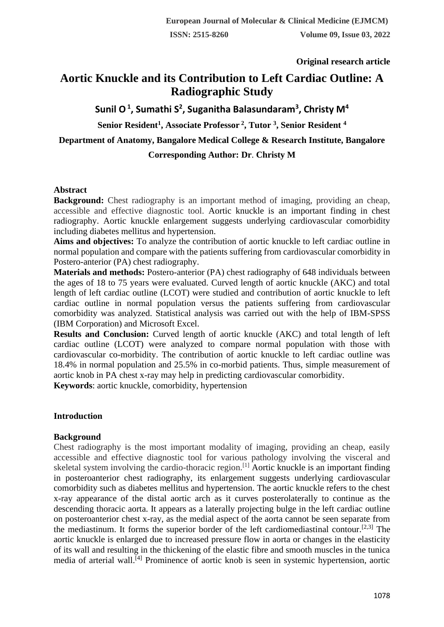**Original research article** 

# **Aortic Knuckle and its Contribution to Left Cardiac Outline: A Radiographic Study**

**Sunil O<sup>1</sup> , Sumathi S<sup>2</sup> , Suganitha Balasundaram<sup>3</sup> , Christy M<sup>4</sup>**

**Senior Resident<sup>1</sup> , Associate Professor <sup>2</sup> , Tutor <sup>3</sup> , Senior Resident <sup>4</sup>**

**Department of Anatomy, Bangalore Medical College & Research Institute, Bangalore**

# **Corresponding Author: Dr**. **Christy M**

# **Abstract**

**Background:** Chest radiography is an important method of imaging, providing an cheap, accessible and effective diagnostic tool. Aortic knuckle is an important finding in chest radiography. Aortic knuckle enlargement suggests underlying cardiovascular comorbidity including diabetes mellitus and hypertension.

**Aims and objectives:** To analyze the contribution of aortic knuckle to left cardiac outline in normal population and compare with the patients suffering from cardiovascular comorbidity in Postero-anterior (PA) chest radiography.

**Materials and methods:** Postero-anterior (PA) chest radiography of 648 individuals between the ages of 18 to 75 years were evaluated. Curved length of aortic knuckle (AKC) and total length of left cardiac outline (LCOT) were studied and contribution of aortic knuckle to left cardiac outline in normal population versus the patients suffering from cardiovascular comorbidity was analyzed. Statistical analysis was carried out with the help of IBM-SPSS (IBM Corporation) and Microsoft Excel.

**Results and Conclusion:** Curved length of aortic knuckle (AKC) and total length of left cardiac outline (LCOT) were analyzed to compare normal population with those with cardiovascular co-morbidity. The contribution of aortic knuckle to left cardiac outline was 18.4% in normal population and 25.5% in co-morbid patients. Thus, simple measurement of aortic knob in PA chest x-ray may help in predicting cardiovascular comorbidity.

**Keywords**: aortic knuckle, comorbidity, hypertension

# **Introduction**

# **Background**

Chest radiography is the most important modality of imaging, providing an cheap, easily accessible and effective diagnostic tool for various pathology involving the visceral and skeletal system involving the cardio-thoracic region.<sup>[1]</sup> Aortic knuckle is an important finding in posteroanterior chest radiography, its enlargement suggests underlying cardiovascular comorbidity such as diabetes mellitus and hypertension. The aortic knuckle refers to the chest x-ray appearance of the distal aortic arch as it curves posterolaterally to continue as the descending thoracic aorta. It appears as a laterally projecting bulge in the left cardiac outline on posteroanterior chest x-ray, as the medial aspect of the aorta cannot be seen separate from the mediastinum. It forms the superior border of the left cardiomediastinal contour.<sup>[2,3]</sup> The aortic knuckle is enlarged due to increased pressure flow in aorta or changes in the elasticity of its wall and resulting in the thickening of the elastic fibre and smooth muscles in the tunica media of arterial wall.[4] Prominence of aortic knob is seen in systemic hypertension, aortic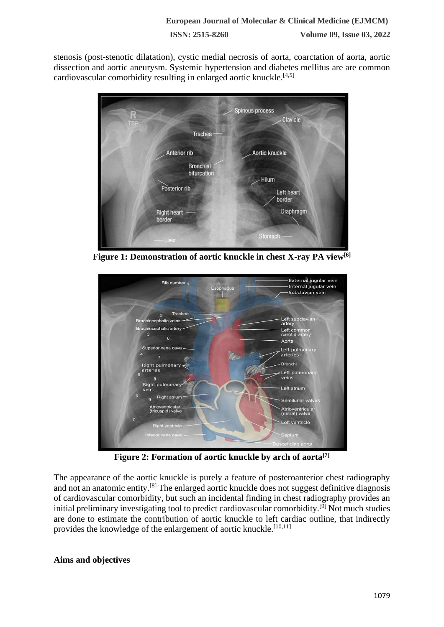**ISSN: 2515-8260 Volume 09, Issue 03, 2022**

stenosis (post-stenotic dilatation), cystic medial necrosis of aorta, coarctation of aorta, aortic dissection and aortic aneurysm. Systemic hypertension and diabetes mellitus are are common cardiovascular comorbidity resulting in enlarged aortic knuckle.[4,5]



**Figure 1: Demonstration of aortic knuckle in chest X-ray PA view[6]**



**Figure 2: Formation of aortic knuckle by arch of aorta[7]**

The appearance of the aortic knuckle is purely a feature of posteroanterior chest radiography and not an anatomic entity.[8] The enlarged aortic knuckle does not suggest definitive diagnosis of cardiovascular comorbidity, but such an incidental finding in chest radiography provides an initial preliminary investigating tool to predict cardiovascular comorbidity.[9] Not much studies are done to estimate the contribution of aortic knuckle to left cardiac outline, that indirectly provides the knowledge of the enlargement of aortic knuckle.<sup>[10,11]</sup>

# **Aims and objectives**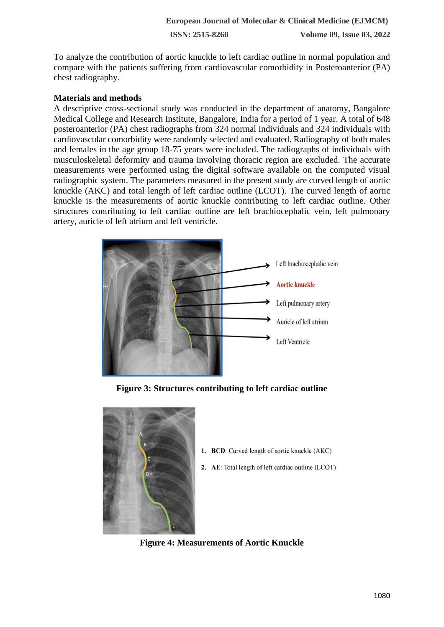To analyze the contribution of aortic knuckle to left cardiac outline in normal population and compare with the patients suffering from cardiovascular comorbidity in Posteroanterior (PA) chest radiography.

# **Materials and methods**

A descriptive cross-sectional study was conducted in the department of anatomy, Bangalore Medical College and Research Institute, Bangalore, India for a period of 1 year. A total of 648 posteroanterior (PA) chest radiographs from 324 normal individuals and 324 individuals with cardiovascular comorbidity were randomly selected and evaluated. Radiography of both males and females in the age group 18-75 years were included. The radiographs of individuals with musculoskeletal deformity and trauma involving thoracic region are excluded. The accurate measurements were performed using the digital software available on the computed visual radiographic system. The parameters measured in the present study are curved length of aortic knuckle (AKC) and total length of left cardiac outline (LCOT). The curved length of aortic knuckle is the measurements of aortic knuckle contributing to left cardiac outline. Other structures contributing to left cardiac outline are left brachiocephalic vein, left pulmonary artery, auricle of left atrium and left ventricle.



**Figure 3: Structures contributing to left cardiac outline**



- 1. BCD: Curved length of aortic knuckle (AKC)
- 2. AE: Total length of left cardiac outline (LCOT)

**Figure 4: Measurements of Aortic Knuckle**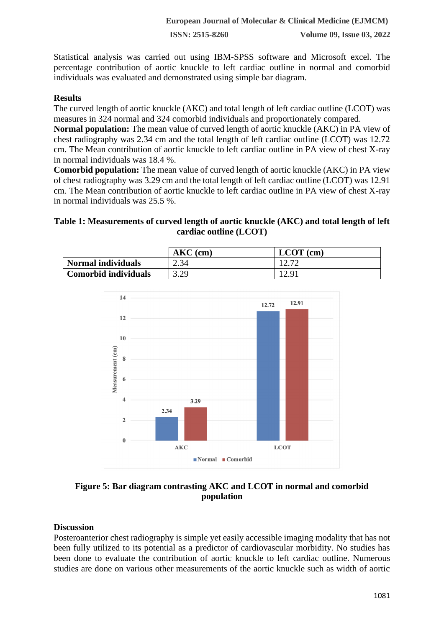**ISSN: 2515-8260 Volume 09, Issue 03, 2022**

Statistical analysis was carried out using IBM-SPSS software and Microsoft excel. The percentage contribution of aortic knuckle to left cardiac outline in normal and comorbid individuals was evaluated and demonstrated using simple bar diagram.

# **Results**

The curved length of aortic knuckle (AKC) and total length of left cardiac outline (LCOT) was measures in 324 normal and 324 comorbid individuals and proportionately compared.

**Normal population:** The mean value of curved length of aortic knuckle (AKC) in PA view of chest radiography was 2.34 cm and the total length of left cardiac outline (LCOT) was 12.72 cm. The Mean contribution of aortic knuckle to left cardiac outline in PA view of chest X-ray in normal individuals was 18.4 %.

**Comorbid population:** The mean value of curved length of aortic knuckle (AKC) in PA view of chest radiography was 3.29 cm and the total length of left cardiac outline (LCOT) was 12.91 cm. The Mean contribution of aortic knuckle to left cardiac outline in PA view of chest X-ray in normal individuals was 25.5 %.

#### **Table 1: Measurements of curved length of aortic knuckle (AKC) and total length of left cardiac outline (LCOT)**

|                           | $AKC$ (cm) | $LCOT$ (cm) |
|---------------------------|------------|-------------|
| <b>Normal individuals</b> | 2.34       | $1 \leq 11$ |
| Comorbid individuals      | 3.29       | 12.91       |



# **Figure 5: Bar diagram contrasting AKC and LCOT in normal and comorbid population**

#### **Discussion**

Posteroanterior chest radiography is simple yet easily accessible imaging modality that has not been fully utilized to its potential as a predictor of cardiovascular morbidity. No studies has been done to evaluate the contribution of aortic knuckle to left cardiac outline. Numerous studies are done on various other measurements of the aortic knuckle such as width of aortic